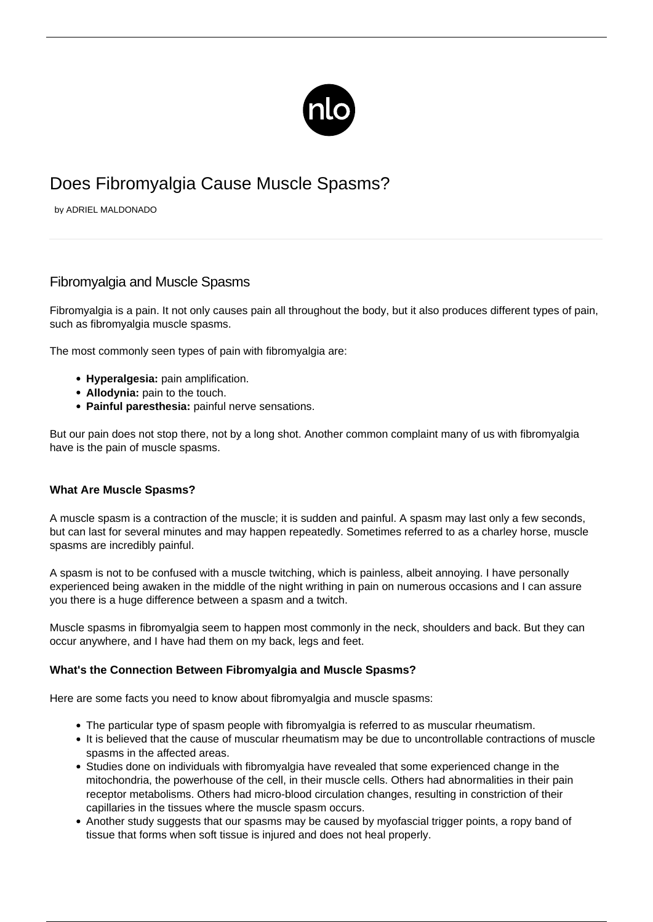

# Does Fibromyalgia Cause Muscle Spasms?

by ADRIEL MALDONADO

## Fibromyalgia and Muscle Spasms

Fibromyalgia is a pain. It not only causes pain all throughout the body, but it also produces different types of pain, such as fibromyalgia muscle spasms.

The most commonly seen types of pain with fibromyalgia are:

- **Hyperalgesia:** pain amplification.
- **Allodynia:** pain to the touch.
- **Painful paresthesia:** painful nerve sensations.

But our pain does not stop there, not by a long shot. Another common complaint many of us with fibromyalgia have is the pain of muscle spasms.

#### **What Are Muscle Spasms?**

A muscle spasm is a contraction of the muscle; it is sudden and painful. A spasm may last only a few seconds, but can last for several minutes and may happen repeatedly. Sometimes referred to as a charley horse, muscle spasms are incredibly painful.

A spasm is not to be confused with a muscle twitching, which is painless, albeit annoying. I have personally experienced being awaken in the middle of the night writhing in pain on numerous occasions and I can assure you there is a huge difference between a spasm and a twitch.

Muscle spasms in fibromyalgia seem to happen most commonly in the neck, shoulders and back. But they can occur anywhere, and I have had them on my back, legs and feet.

#### **What's the Connection Between Fibromyalgia and Muscle Spasms?**

Here are some facts you need to know about fibromyalgia and muscle spasms:

- The particular type of spasm people with fibromyalgia is referred to as muscular rheumatism.
- It is believed that the cause of muscular rheumatism may be due to uncontrollable contractions of muscle spasms in the affected areas.
- Studies done on individuals with fibromyalgia have revealed that some experienced change in the mitochondria, the powerhouse of the cell, in their muscle cells. Others had abnormalities in their pain receptor metabolisms. Others had micro-blood circulation changes, resulting in constriction of their capillaries in the tissues where the muscle spasm occurs.
- Another study suggests that our spasms may be caused by myofascial trigger points, a ropy band of tissue that forms when soft tissue is injured and does not heal properly.